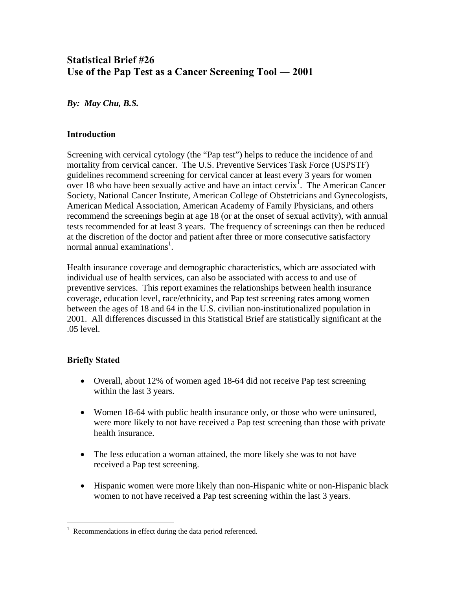# **Statistical Brief #26**  Use of the Pap Test as a Cancer Screening Tool — 2001

*By: May Chu, B.S.* 

## **Introduction**

Screening with cervical cytology (the "Pap test") helps to reduce the incidence of and mortality from cervical cancer. The U.S. Preventive Services Task Force (USPSTF) guidelines recommend screening for cervical cancer at least every 3 years for women over [1](#page-0-0)8 who have been sexually active and have an intact cervix<sup>1</sup>. The American Cancer Society, National Cancer Institute, American College of Obstetricians and Gynecologists, American Medical Association, American Academy of Family Physicians, and others recommend the screenings begin at age 18 (or at the onset of sexual activity), with annual tests recommended for at least 3 years. The frequency of screenings can then be reduced at the discretion of the doctor and patient after three or more consecutive satisfactory normal annual examinations<sup>1</sup>.

Health insurance coverage and demographic characteristics, which are associated with individual use of health services, can also be associated with access to and use of preventive services. This report examines the relationships between health insurance coverage, education level, race/ethnicity, and Pap test screening rates among women between the ages of 18 and 64 in the U.S. civilian non-institutionalized population in 2001. All differences discussed in this Statistical Brief are statistically significant at the .05 level.

# **Briefly Stated**

<u>.</u>

- Overall, about 12% of women aged 18-64 did not receive Pap test screening within the last 3 years.
- Women 18-64 with public health insurance only, or those who were uninsured, were more likely to not have received a Pap test screening than those with private health insurance.
- The less education a woman attained, the more likely she was to not have received a Pap test screening.
- Hispanic women were more likely than non-Hispanic white or non-Hispanic black women to not have received a Pap test screening within the last 3 years.

<span id="page-0-0"></span><sup>1</sup> Recommendations in effect during the data period referenced.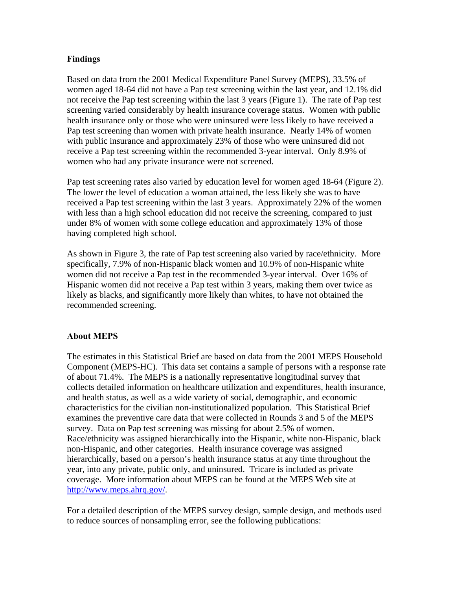## **Findings**

Based on data from the 2001 Medical Expenditure Panel Survey (MEPS), 33.5% of women aged 18-64 did not have a Pap test screening within the last year, and 12.1% did not receive the Pap test screening within the last 3 years (Figure 1). The rate of Pap test screening varied considerably by health insurance coverage status. Women with public health insurance only or those who were uninsured were less likely to have received a Pap test screening than women with private health insurance. Nearly 14% of women with public insurance and approximately 23% of those who were uninsured did not receive a Pap test screening within the recommended 3-year interval. Only 8.9% of women who had any private insurance were not screened.

Pap test screening rates also varied by education level for women aged 18-64 (Figure 2). The lower the level of education a woman attained, the less likely she was to have received a Pap test screening within the last 3 years. Approximately 22% of the women with less than a high school education did not receive the screening, compared to just under 8% of women with some college education and approximately 13% of those having completed high school.

As shown in Figure 3, the rate of Pap test screening also varied by race/ethnicity. More specifically, 7.9% of non-Hispanic black women and 10.9% of non-Hispanic white women did not receive a Pap test in the recommended 3-year interval. Over 16% of Hispanic women did not receive a Pap test within 3 years, making them over twice as likely as blacks, and significantly more likely than whites, to have not obtained the recommended screening.

#### **About MEPS**

The estimates in this Statistical Brief are based on data from the 2001 MEPS Household Component (MEPS-HC). This data set contains a sample of persons with a response rate of about 71.4%. The MEPS is a nationally representative longitudinal survey that collects detailed information on healthcare utilization and expenditures, health insurance, and health status, as well as a wide variety of social, demographic, and economic characteristics for the civilian non-institutionalized population. This Statistical Brief examines the preventive care data that were collected in Rounds 3 and 5 of the MEPS survey. Data on Pap test screening was missing for about 2.5% of women. Race/ethnicity was assigned hierarchically into the Hispanic, white non-Hispanic, black non-Hispanic, and other categories. Health insurance coverage was assigned hierarchically, based on a person's health insurance status at any time throughout the year, into any private, public only, and uninsured. Tricare is included as private coverage. More information about MEPS can be found at the MEPS Web site at [http://www.meps.ahrq.gov/.](http://www.meps.ahrq.gov/)

For a detailed description of the MEPS survey design, sample design, and methods used to reduce sources of nonsampling error, see the following publications: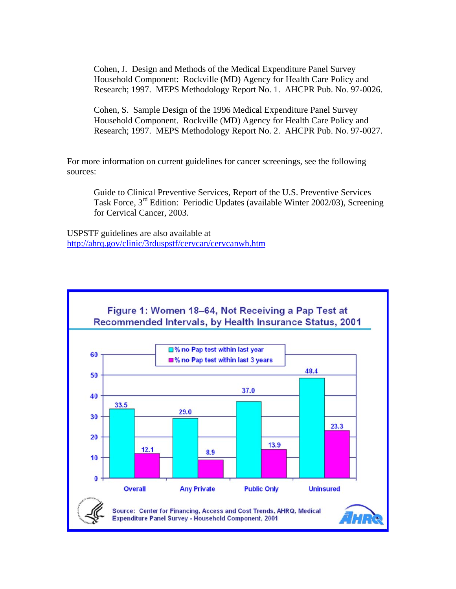Cohen, J. Design and Methods of the Medical Expenditure Panel Survey Household Component: Rockville (MD) Agency for Health Care Policy and Research; 1997. MEPS Methodology Report No. 1. AHCPR Pub. No. 97-0026.

Cohen, S. Sample Design of the 1996 Medical Expenditure Panel Survey Household Component. Rockville (MD) Agency for Health Care Policy and Research; 1997. MEPS Methodology Report No. 2. AHCPR Pub. No. 97-0027.

For more information on current guidelines for cancer screenings, see the following sources:

Guide to Clinical Preventive Services, Report of the U.S. Preventive Services Task Force, 3<sup>rd</sup> Edition: Periodic Updates (available Winter 2002/03), Screening for Cervical Cancer, 2003.

USPSTF guidelines are also available at <http://ahrq.gov/clinic/3rduspstf/cervcan/cervcanwh.htm>

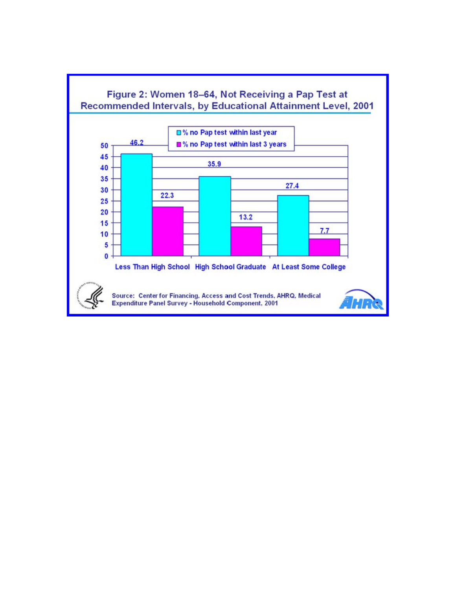